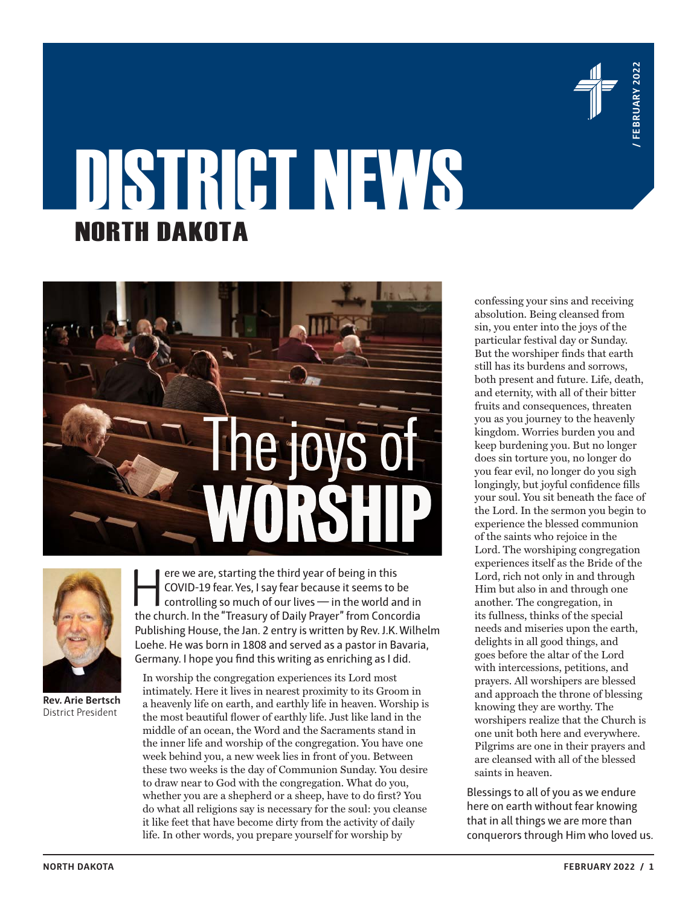

# DISTRICT NEWS NORTH DAKOTA





**Rev. Arie Bertsch** District President

ere we are, starting the third year of being in this<br>
coVID-19 fear. Yes, I say fear because it seems to be<br>
controlling so much of our lives — in the world and in<br>
the church In the "Treasury of Daily Prayer" from Concord COVID-19 fear. Yes, I say fear because it seems to be the church. In the "Treasury of Daily Prayer" from Concordia Publishing House, the Jan. 2 entry is written by Rev. J.K. Wilhelm Loehe. He was born in 1808 and served as a pastor in Bavaria, Germany. I hope you find this writing as enriching as I did.

In worship the congregation experiences its Lord most intimately. Here it lives in nearest proximity to its Groom in a heavenly life on earth, and earthly life in heaven. Worship is the most beautiful flower of earthly life. Just like land in the middle of an ocean, the Word and the Sacraments stand in the inner life and worship of the congregation. You have one week behind you, a new week lies in front of you. Between these two weeks is the day of Communion Sunday. You desire to draw near to God with the congregation. What do you, whether you are a shepherd or a sheep, have to do first? You do what all religions say is necessary for the soul: you cleanse it like feet that have become dirty from the activity of daily life. In other words, you prepare yourself for worship by

confessing your sins and receiving absolution. Being cleansed from sin, you enter into the joys of the particular festival day or Sunday. But the worshiper finds that earth still has its burdens and sorrows, both present and future. Life, death, and eternity, with all of their bitter fruits and consequences, threaten you as you journey to the heavenly kingdom. Worries burden you and keep burdening you. But no longer does sin torture you, no longer do you fear evil, no longer do you sigh longingly, but joyful confidence fills your soul. You sit beneath the face of the Lord. In the sermon you begin to experience the blessed communion of the saints who rejoice in the Lord. The worshiping congregation experiences itself as the Bride of the Lord, rich not only in and through Him but also in and through one another. The congregation, in its fullness, thinks of the special needs and miseries upon the earth, delights in all good things, and goes before the altar of the Lord with intercessions, petitions, and prayers. All worshipers are blessed and approach the throne of blessing knowing they are worthy. The worshipers realize that the Church is one unit both here and everywhere. Pilgrims are one in their prayers and are cleansed with all of the blessed saints in heaven.

Blessings to all of you as we endure here on earth without fear knowing that in all things we are more than conquerors through Him who loved us.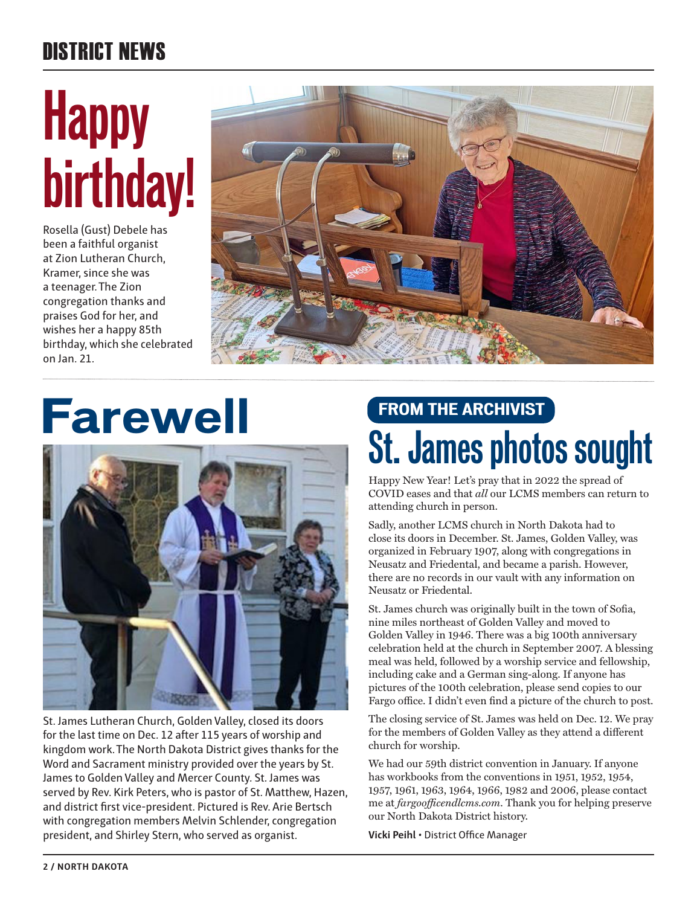### DISTRICT NEWS

# **Happy birthday!**

Rosella (Gust) Debele has been a faithful organist at Zion Lutheran Church, Kramer, since she was a teenager. The Zion congregation thanks and praises God for her, and wishes her a happy 85th birthday, which she celebrated on Jan. 21.



# **Farewell**



St. James Lutheran Church, Golden Valley, closed its doors for the last time on Dec. 12 after 115 years of worship and kingdom work. The North Dakota District gives thanks for the Word and Sacrament ministry provided over the years by St. James to Golden Valley and Mercer County. St. James was served by Rev. Kirk Peters, who is pastor of St. Matthew, Hazen, and district first vice-president. Pictured is Rev. Arie Bertsch with congregation members Melvin Schlender, congregation president, and Shirley Stern, who served as organist.

## **FROM THE ARCHIVIST St. James photos sought**

Happy New Year! Let's pray that in 2022 the spread of COVID eases and that *all* our LCMS members can return to attending church in person.

Sadly, another LCMS church in North Dakota had to close its doors in December. St. James, Golden Valley, was organized in February 1907, along with congregations in Neusatz and Friedental, and became a parish. However, there are no records in our vault with any information on Neusatz or Friedental.

St. James church was originally built in the town of Sofia, nine miles northeast of Golden Valley and moved to Golden Valley in 1946. There was a big 100th anniversary celebration held at the church in September 2007. A blessing meal was held, followed by a worship service and fellowship, including cake and a German sing-along. If anyone has pictures of the 100th celebration, please send copies to our Fargo office. I didn't even find a picture of the church to post.

The closing service of St. James was held on Dec. 12. We pray for the members of Golden Valley as they attend a different church for worship.

We had our 59th district convention in January. If anyone has workbooks from the conventions in 1951, 1952, 1954, 1957, 1961, 1963, 1964, 1966, 1982 and 2006, please contact me at *fargoofficendlcms.com*. Thank you for helping preserve our North Dakota District history.

**Vicki Peihl** • District Office Manager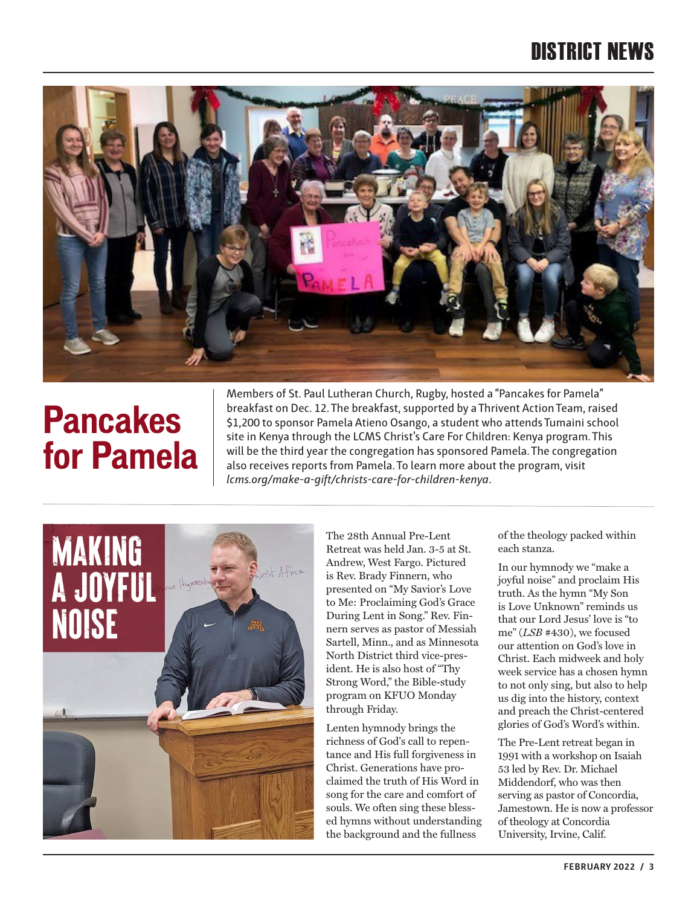#### DISTRICT NEWS



## **Pancakes for Pamela**

Members of St. Paul Lutheran Church, Rugby, hosted a "Pancakes for Pamela" breakfast on Dec. 12. The breakfast, supported by a Thrivent Action Team, raised \$1,200 to sponsor Pamela Atieno Osango, a student who attends Tumaini school site in Kenya through the LCMS Christ's Care For Children: Kenya program. This will be the third year the congregation has sponsored Pamela. The congregation also receives reports from Pamela. To learn more about the program, visit *lcms.org/make-a-gift/christs-care-for-children-kenya*.



The 28th Annual Pre-Lent Retreat was held Jan. 3-5 at St. Andrew, West Fargo. Pictured is Rev. Brady Finnern, who presented on "My Savior's Love to Me: Proclaiming God's Grace During Lent in Song." Rev. Finnern serves as pastor of Messiah Sartell, Minn., and as Minnesota North District third vice-president. He is also host of "Thy Strong Word," the Bible-study program on KFUO Monday through Friday.

Lenten hymnody brings the richness of God's call to repentance and His full forgiveness in Christ. Generations have proclaimed the truth of His Word in song for the care and comfort of souls. We often sing these blessed hymns without understanding the background and the fullness

of the theology packed within each stanza.

In our hymnody we "make a joyful noise" and proclaim His truth. As the hymn "My Son is Love Unknown" reminds us that our Lord Jesus' love is "to me" (*LSB* #430), we focused our attention on God's love in Christ. Each midweek and holy week service has a chosen hymn to not only sing, but also to help us dig into the history, context and preach the Christ-centered glories of God's Word's within.

The Pre-Lent retreat began in 1991 with a workshop on Isaiah 53 led by Rev. Dr. Michael Middendorf, who was then serving as pastor of Concordia, Jamestown. He is now a professor of theology at Concordia University, Irvine, Calif.